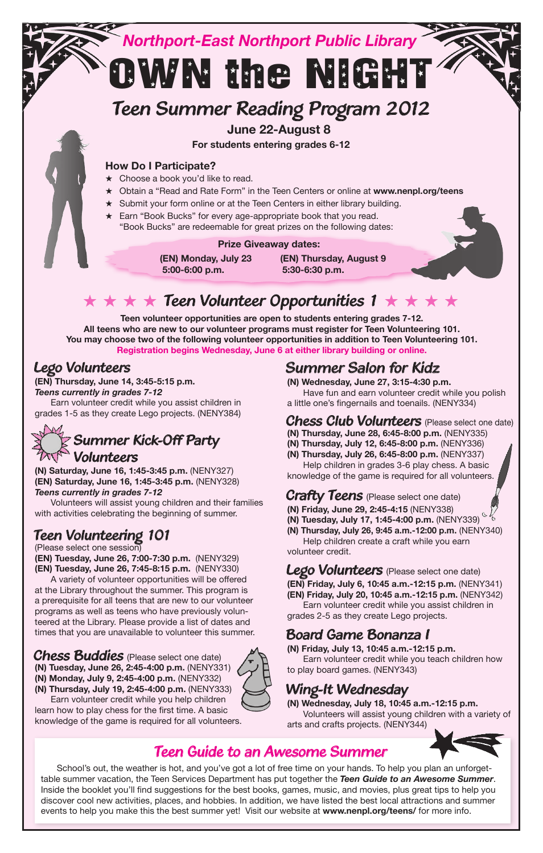

## $\star\star\star\star$  Teen Volunteer Opportunities 1  $\star\star\star\star$

**Teen volunteer opportunities are open to students entering grades 7-12. All teens who are new to our volunteer programs must register for Teen Volunteering 101. You may choose two of the following volunteer opportunities in addition to Teen Volunteering 101. Registration begins Wednesday, June 6 at either library building or online.**

#### *Lego Volunteers*

**(EN) Thursday, June 14, 3:45-5:15 p.m.** *Teens currently in grades 7-12* Earn volunteer credit while you assist children in grades 1-5 as they create Lego projects. (NENY384)

#### *Summer Kick-Off Party Volunteers*

**(N) Saturday, June 16, 1:45-3:45 p.m.** (NENY327) **(EN) Saturday, June 16, 1:45-3:45 p.m.** (NENY328) *Teens currently in grades 7-12*

 Volunteers will assist young children and their families with activities celebrating the beginning of summer.

#### *Teen Volunteering 101*

(Please select one session) **(EN) Tuesday, June 26, 7:00-7:30 p.m.** (NENY329) **(EN) Tuesday, June 26, 7:45-8:15 p.m.** (NENY330)

 A variety of volunteer opportunities will be offered at the Library throughout the summer. This program is a prerequisite for all teens that are new to our volunteer programs as well as teens who have previously volunteered at the Library. Please provide a list of dates and times that you are unavailable to volunteer this summer.

*Chess Buddies* (Please select one date) **(N) Tuesday, June 26, 2:45-4:00 p.m.** (NENY331) **(N) Monday, July 9, 2:45-4:00 p.m.** (NENY332) **(N) Thursday, July 19, 2:45-4:00 p.m.** (NENY333)



#### *Summer Salon for Kidz*

**(N) Wednesday, June 27, 3:15-4:30 p.m.** Have fun and earn volunteer credit while you polish a little one's fingernails and toenails. (NENY334)

*Chess Club Volunteers* (Please select one date)

- **(N) Thursday, June 28, 6:45-8:00 p.m.** (NENY335)
- **(N) Thursday, July 12, 6:45-8:00 p.m.** (NENY336)
- **(N) Thursday, July 26, 6:45-8:00 p.m.** (NENY337)

 Help children in grades 3-6 play chess. A basic knowledge of the game is required for all volunteers.

*Crafty Teens* (Please select one date)

- **(N) Friday, June 29, 2:45-4:15** (NENY338)
- **(N) Tuesday, July 17, 1:45-4:00 p.m.** (NENY339)
- **(N) Thursday, July 26, 9:45 a.m.-12:00 p.m.** (NENY340)

 Help children create a craft while you earn volunteer credit.

*Lego Volunteers* (Please select one date) **(EN) Friday, July 6, 10:45 a.m.-12:15 p.m.** (NENY341) **(EN) Friday, July 20, 10:45 a.m.-12:15 p.m.** (NENY342)

 Earn volunteer credit while you assist children in grades 2-5 as they create Lego projects.

#### *Board Game Bonanza I*

**(N) Friday, July 13, 10:45 a.m.-12:15 p.m.** Earn volunteer credit while you teach children how to play board games. (NENY343)

## *Wing-It Wednesday*

**(N) Wednesday, July 18, 10:45 a.m.-12:15 p.m.** Volunteers will assist young children with a variety of arts and crafts projects. (NENY344)



## *Teen Guide to an Awesome Summer*

School's out, the weather is hot, and you've got a lot of free time on your hands. To help you plan an unforgettable summer vacation, the Teen Services Department has put together the *Teen Guide to an Awesome Summer*. Inside the booklet you'll find suggestions for the best books, games, music, and movies, plus great tips to help you discover cool new activities, places, and hobbies. In addition, we have listed the best local attractions and summer events to help you make this the best summer yet! Visit our website at **www.nenpl.org/teens/** for more info.